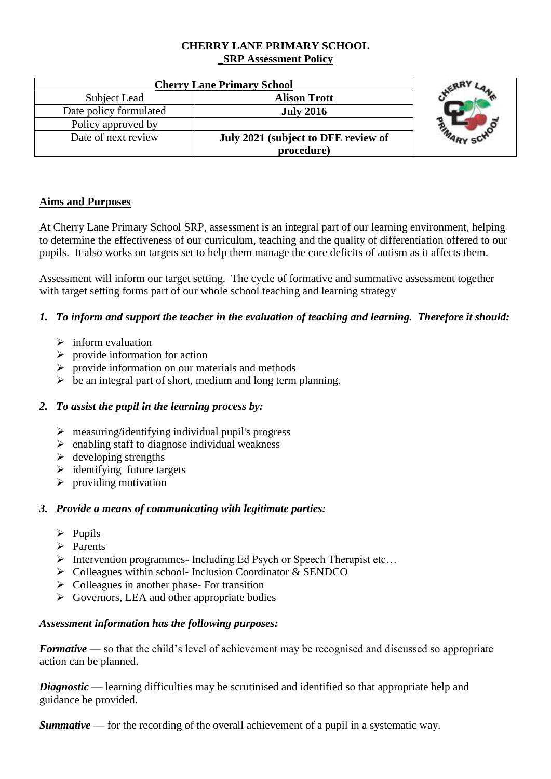### **CHERRY LANE PRIMARY SCHOOL \_SRP Assessment Policy**

| <b>Cherry Lane Primary School</b> |                                     |  |
|-----------------------------------|-------------------------------------|--|
| Subject Lead                      | <b>Alison Trott</b>                 |  |
| Date policy formulated            | <b>July 2016</b>                    |  |
| Policy approved by                |                                     |  |
| Date of next review               | July 2021 (subject to DFE review of |  |
|                                   | procedure)                          |  |

# **Aims and Purposes**

At Cherry Lane Primary School SRP, assessment is an integral part of our learning environment, helping to determine the effectiveness of our curriculum, teaching and the quality of differentiation offered to our pupils. It also works on targets set to help them manage the core deficits of autism as it affects them.

Assessment will inform our target setting. The cycle of formative and summative assessment together with target setting forms part of our whole school teaching and learning strategy

# *1. To inform and support the teacher in the evaluation of teaching and learning. Therefore it should:*

- $\triangleright$  inform evaluation
- $\triangleright$  provide information for action
- $\triangleright$  provide information on our materials and methods
- $\triangleright$  be an integral part of short, medium and long term planning.

### *2. To assist the pupil in the learning process by:*

- $\triangleright$  measuring/identifying individual pupil's progress
- $\triangleright$  enabling staff to diagnose individual weakness
- $\triangleright$  developing strengths
- $\triangleright$  identifying future targets
- $\triangleright$  providing motivation

### *3. Provide a means of communicating with legitimate parties:*

- $\triangleright$  Pupils
- $\triangleright$  Parents
- Intervention programmes- Including Ed Psych or Speech Therapist etc…
- $\triangleright$  Colleagues within school- Inclusion Coordinator & SENDCO
- $\triangleright$  Colleagues in another phase- For transition
- $\triangleright$  Governors, LEA and other appropriate bodies

### *Assessment information has the following purposes:*

*Formative* — so that the child's level of achievement may be recognised and discussed so appropriate action can be planned.

*Diagnostic* — learning difficulties may be scrutinised and identified so that appropriate help and guidance be provided.

*Summative* — for the recording of the overall achievement of a pupil in a systematic way.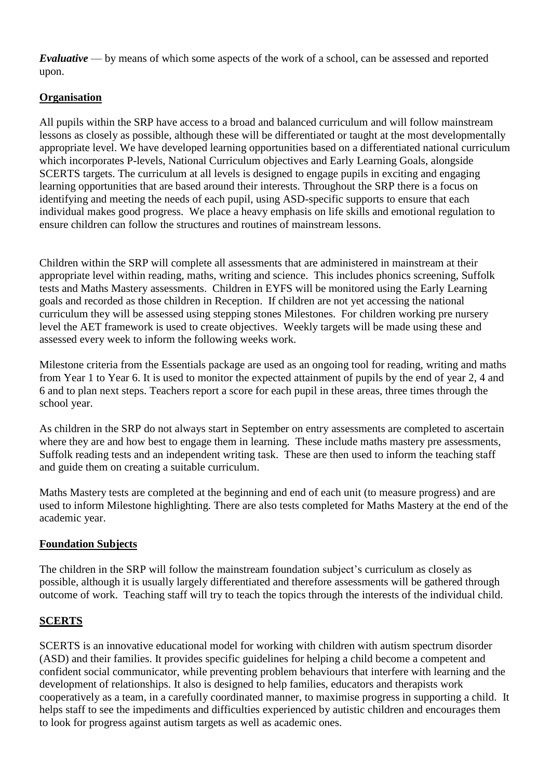*Evaluative* — by means of which some aspects of the work of a school, can be assessed and reported upon.

# **Organisation**

All pupils within the SRP have access to a broad and balanced curriculum and will follow mainstream lessons as closely as possible, although these will be differentiated or taught at the most developmentally appropriate level. We have developed learning opportunities based on a differentiated national curriculum which incorporates P-levels, National Curriculum objectives and Early Learning Goals, alongside SCERTS targets. The curriculum at all levels is designed to engage pupils in exciting and engaging learning opportunities that are based around their interests. Throughout the SRP there is a focus on identifying and meeting the needs of each pupil, using ASD-specific supports to ensure that each individual makes good progress. We place a heavy emphasis on life skills and emotional regulation to ensure children can follow the structures and routines of mainstream lessons.

Children within the SRP will complete all assessments that are administered in mainstream at their appropriate level within reading, maths, writing and science. This includes phonics screening, Suffolk tests and Maths Mastery assessments. Children in EYFS will be monitored using the Early Learning goals and recorded as those children in Reception. If children are not yet accessing the national curriculum they will be assessed using stepping stones Milestones. For children working pre nursery level the AET framework is used to create objectives. Weekly targets will be made using these and assessed every week to inform the following weeks work.

Milestone criteria from the Essentials package are used as an ongoing tool for reading, writing and maths from Year 1 to Year 6. It is used to monitor the expected attainment of pupils by the end of year 2, 4 and 6 and to plan next steps. Teachers report a score for each pupil in these areas, three times through the school year.

As children in the SRP do not always start in September on entry assessments are completed to ascertain where they are and how best to engage them in learning. These include maths mastery pre assessments, Suffolk reading tests and an independent writing task. These are then used to inform the teaching staff and guide them on creating a suitable curriculum.

Maths Mastery tests are completed at the beginning and end of each unit (to measure progress) and are used to inform Milestone highlighting. There are also tests completed for Maths Mastery at the end of the academic year.

### **Foundation Subjects**

The children in the SRP will follow the mainstream foundation subject's curriculum as closely as possible, although it is usually largely differentiated and therefore assessments will be gathered through outcome of work. Teaching staff will try to teach the topics through the interests of the individual child.

### **SCERTS**

SCERTS is an innovative educational model for working with children with autism spectrum disorder (ASD) and their families. It provides specific guidelines for helping a child become a competent and confident social communicator, while preventing problem behaviours that interfere with learning and the development of relationships. It also is designed to help families, educators and therapists work cooperatively as a team, in a carefully coordinated manner, to maximise progress in supporting a child. It helps staff to see the impediments and difficulties experienced by autistic children and encourages them to look for progress against autism targets as well as academic ones.